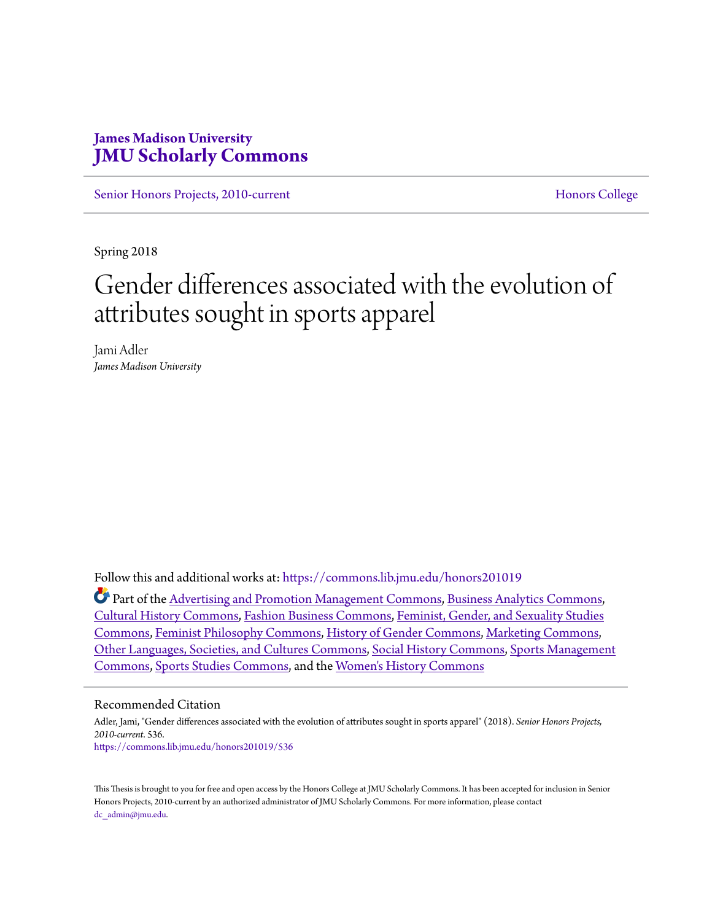## **James Madison University [JMU Scholarly Commons](https://commons.lib.jmu.edu/?utm_source=commons.lib.jmu.edu%2Fhonors201019%2F536&utm_medium=PDF&utm_campaign=PDFCoverPages)**

[Senior Honors Projects, 2010-current](https://commons.lib.jmu.edu/honors201019?utm_source=commons.lib.jmu.edu%2Fhonors201019%2F536&utm_medium=PDF&utm_campaign=PDFCoverPages) [Honors College](https://commons.lib.jmu.edu/honors?utm_source=commons.lib.jmu.edu%2Fhonors201019%2F536&utm_medium=PDF&utm_campaign=PDFCoverPages)

Spring 2018

# Gender differences associated with the evolution of attributes sought in sports apparel

Jami Adler *James Madison University*

Follow this and additional works at: [https://commons.lib.jmu.edu/honors201019](https://commons.lib.jmu.edu/honors201019?utm_source=commons.lib.jmu.edu%2Fhonors201019%2F536&utm_medium=PDF&utm_campaign=PDFCoverPages)

Part of the [Advertising and Promotion Management Commons,](http://network.bepress.com/hgg/discipline/626?utm_source=commons.lib.jmu.edu%2Fhonors201019%2F536&utm_medium=PDF&utm_campaign=PDFCoverPages) [Business Analytics Commons](http://network.bepress.com/hgg/discipline/1398?utm_source=commons.lib.jmu.edu%2Fhonors201019%2F536&utm_medium=PDF&utm_campaign=PDFCoverPages), [Cultural History Commons](http://network.bepress.com/hgg/discipline/496?utm_source=commons.lib.jmu.edu%2Fhonors201019%2F536&utm_medium=PDF&utm_campaign=PDFCoverPages), [Fashion Business Commons,](http://network.bepress.com/hgg/discipline/1147?utm_source=commons.lib.jmu.edu%2Fhonors201019%2F536&utm_medium=PDF&utm_campaign=PDFCoverPages) [Feminist, Gender, and Sexuality Studies](http://network.bepress.com/hgg/discipline/559?utm_source=commons.lib.jmu.edu%2Fhonors201019%2F536&utm_medium=PDF&utm_campaign=PDFCoverPages) [Commons,](http://network.bepress.com/hgg/discipline/559?utm_source=commons.lib.jmu.edu%2Fhonors201019%2F536&utm_medium=PDF&utm_campaign=PDFCoverPages) [Feminist Philosophy Commons](http://network.bepress.com/hgg/discipline/530?utm_source=commons.lib.jmu.edu%2Fhonors201019%2F536&utm_medium=PDF&utm_campaign=PDFCoverPages), [History of Gender Commons](http://network.bepress.com/hgg/discipline/498?utm_source=commons.lib.jmu.edu%2Fhonors201019%2F536&utm_medium=PDF&utm_campaign=PDFCoverPages), [Marketing Commons](http://network.bepress.com/hgg/discipline/638?utm_source=commons.lib.jmu.edu%2Fhonors201019%2F536&utm_medium=PDF&utm_campaign=PDFCoverPages), [Other Languages, Societies, and Cultures Commons](http://network.bepress.com/hgg/discipline/475?utm_source=commons.lib.jmu.edu%2Fhonors201019%2F536&utm_medium=PDF&utm_campaign=PDFCoverPages), [Social History Commons](http://network.bepress.com/hgg/discipline/506?utm_source=commons.lib.jmu.edu%2Fhonors201019%2F536&utm_medium=PDF&utm_campaign=PDFCoverPages), [Sports Management](http://network.bepress.com/hgg/discipline/1193?utm_source=commons.lib.jmu.edu%2Fhonors201019%2F536&utm_medium=PDF&utm_campaign=PDFCoverPages) [Commons,](http://network.bepress.com/hgg/discipline/1193?utm_source=commons.lib.jmu.edu%2Fhonors201019%2F536&utm_medium=PDF&utm_campaign=PDFCoverPages) [Sports Studies Commons](http://network.bepress.com/hgg/discipline/1198?utm_source=commons.lib.jmu.edu%2Fhonors201019%2F536&utm_medium=PDF&utm_campaign=PDFCoverPages), and the [Women's History Commons](http://network.bepress.com/hgg/discipline/507?utm_source=commons.lib.jmu.edu%2Fhonors201019%2F536&utm_medium=PDF&utm_campaign=PDFCoverPages)

#### Recommended Citation

Adler, Jami, "Gender differences associated with the evolution of attributes sought in sports apparel" (2018). *Senior Honors Projects, 2010-current*. 536. [https://commons.lib.jmu.edu/honors201019/536](https://commons.lib.jmu.edu/honors201019/536?utm_source=commons.lib.jmu.edu%2Fhonors201019%2F536&utm_medium=PDF&utm_campaign=PDFCoverPages)

This Thesis is brought to you for free and open access by the Honors College at JMU Scholarly Commons. It has been accepted for inclusion in Senior Honors Projects, 2010-current by an authorized administrator of JMU Scholarly Commons. For more information, please contact [dc\\_admin@jmu.edu.](mailto:dc_admin@jmu.edu)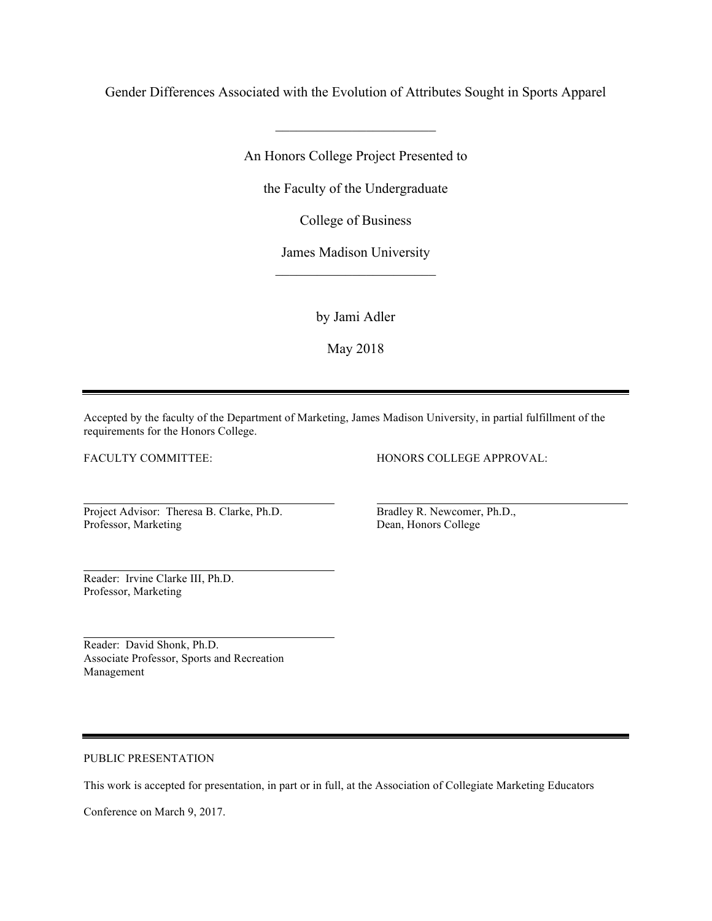Gender Differences Associated with the Evolution of Attributes Sought in Sports Apparel

 $\overline{\phantom{a}}$  , where  $\overline{\phantom{a}}$ 

An Honors College Project Presented to

the Faculty of the Undergraduate

College of Business

James Madison University  $\overline{\phantom{a}}$  , where  $\overline{\phantom{a}}$ 

by Jami Adler

May 2018

Accepted by the faculty of the Department of Marketing, James Madison University, in partial fulfillment of the requirements for the Honors College.

FACULTY COMMITTEE:

HONORS COLLEGE APPROVAL:

Project Advisor: Theresa B. Clarke, Ph.D. Professor, Marketing

Bradley R. Newcomer, Ph.D., Dean, Honors College

Reader: Irvine Clarke III, Ph.D. Professor, Marketing

Reader: David Shonk, Ph.D. Associate Professor, Sports and Recreation Management

PUBLIC PRESENTATION

This work is accepted for presentation, in part or in full, at the Association of Collegiate Marketing Educators

Conference on March 9, 2017.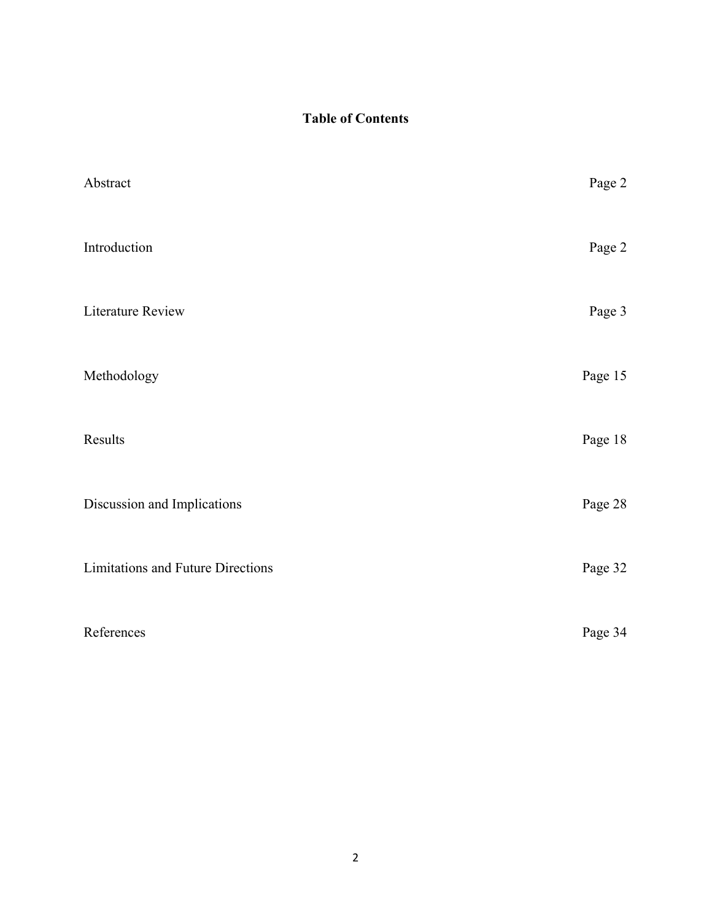## **Table of Contents**

| Abstract                                 | Page 2  |
|------------------------------------------|---------|
| Introduction                             | Page 2  |
| Literature Review                        | Page 3  |
| Methodology                              | Page 15 |
| Results                                  | Page 18 |
| Discussion and Implications              | Page 28 |
| <b>Limitations and Future Directions</b> | Page 32 |
| References                               | Page 34 |